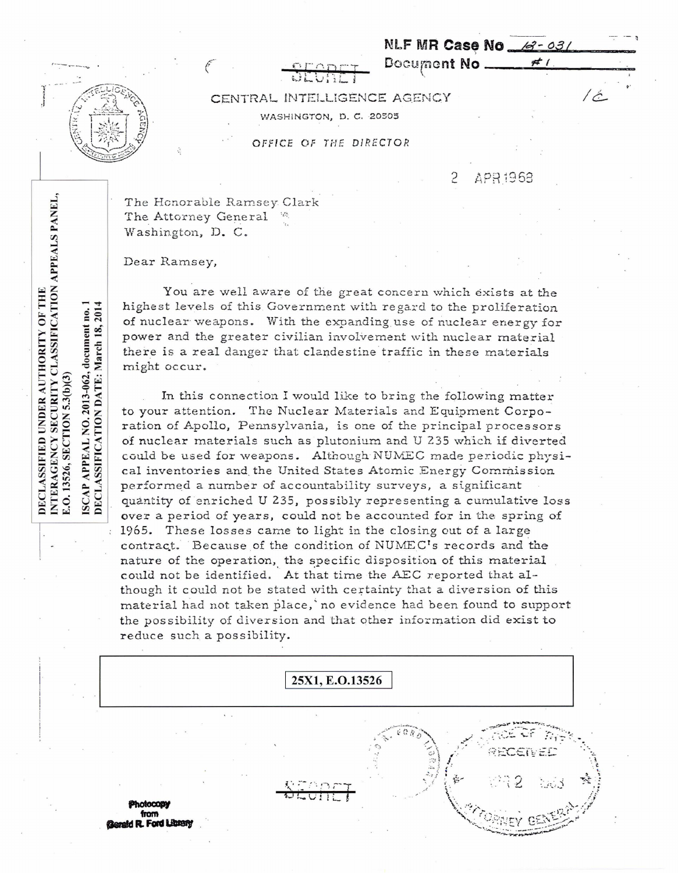NLF MR Case No 6-03/

Document No.

CENTRAL INTELLIGENCE AGENCY WASHINGTON, D. C. 20505

OFFICE OF THE DIRECTOR

Ç APR1963

 $#1$ 

 $/c$ 

The Honorable Ramsey Clark The Attorney General Washington, D. C.

Dear Ramsey,

You are well aware of the great concern which exists at the highest levels of this Government with regard to the proliferation of nuclear weapons. With the expanding use of nuclear energy for power and the greater civilian involvement with nuclear material there is a real danger that clandestine traffic in these materials might occur.

In this connection I would like to bring the following matter to your attention. The Nuclear Materials and Equipment Corporation of Apollo, Pennsylvania, is one of the principal processors of nuclear materials such as plutonium and U 235 which if diverted could be used for weapons. Although NUMEC made periodic physical inventories and the United States Atomic Energy Commission performed a number of accountability surveys, a significant quantity of enriched U 235, possibly representing a cumulative loss over a period of years, could not be accounted for in the spring of 1965. These losses came to light in the closing out of a large contract. Because of the condition of NUMEC's records and the nature of the operation, the specific disposition of this material could not be identified. At that time the AEC reported that although it could not be stated with certainty that a diversion of this material had not taken place, no evidence had been found to support the possibility of diversion and that other information did exist to reduce such a possibility.



INTERAGENCY SECURITY CLASSIFICATION APPEALS PANEL, DECLASSIFIED UNDER AUTHORITY OF THE no. APPEAL NO. 2013-062, document E.O. 13526, SECTION 5.3(b)(3) ISCAP

DECLASSIFICATION DATE: March 18, 2014